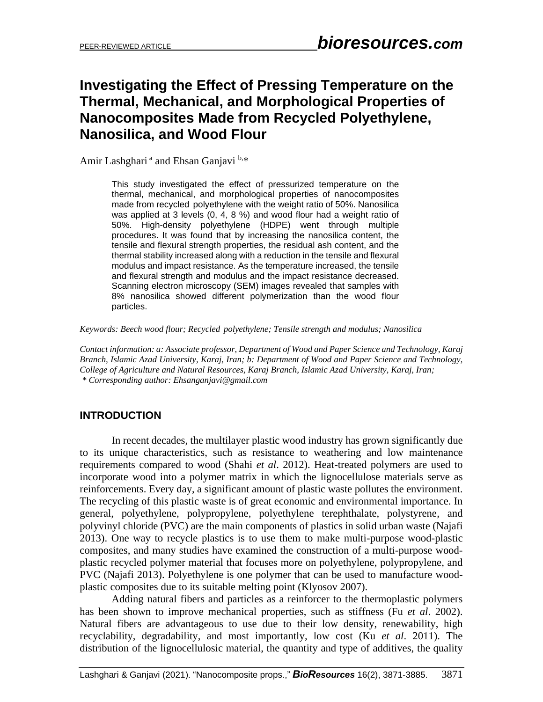# **Investigating the Effect of Pressing Temperature on the Thermal, Mechanical, and Morphological Properties of Nanocomposites Made from Recycled Polyethylene, Nanosilica, and Wood Flour**

Amir Lashghari<sup>a</sup> and Ehsan Ganjavi<sup>b,\*</sup>

This study investigated the effect of pressurized temperature on the thermal, mechanical, and morphological properties of nanocomposites made from recycled polyethylene with the weight ratio of 50%. Nanosilica was applied at 3 levels (0, 4, 8 %) and wood flour had a weight ratio of 50%. High-density polyethylene (HDPE) went through multiple procedures. It was found that by increasing the nanosilica content, the tensile and flexural strength properties, the residual ash content, and the thermal stability increased along with a reduction in the tensile and flexural modulus and impact resistance. As the temperature increased, the tensile and flexural strength and modulus and the impact resistance decreased. Scanning electron microscopy (SEM) images revealed that samples with 8% nanosilica showed different polymerization than the wood flour particles.

*Keywords: Beech wood flour; Recycled polyethylene; Tensile strength and modulus; Nanosilica*

*Contact information: a: Associate professor, Department of Wood and Paper Science and Technology, Karaj Branch, Islamic Azad University, Karaj, Iran; b: Department of Wood and Paper Science and Technology, College of Agriculture and Natural Resources, Karaj Branch, Islamic Azad University, Karaj, Iran; \* Corresponding author: Ehsanganjavi@gmail.com*

# **INTRODUCTION**

In recent decades, the multilayer plastic wood industry has grown significantly due to its unique characteristics, such as resistance to weathering and low maintenance requirements compared to wood (Shahi *et al*. 2012). Heat-treated polymers are used to incorporate wood into a polymer matrix in which the lignocellulose materials serve as reinforcements. Every day, a significant amount of plastic waste pollutes the environment. The recycling of this plastic waste is of great economic and environmental importance. In general, polyethylene, polypropylene, polyethylene terephthalate, polystyrene, and polyvinyl chloride (PVC) are the main components of plastics in solid urban waste (Najafi 2013). One way to recycle plastics is to use them to make multi-purpose wood-plastic composites, and many studies have examined the construction of a multi-purpose woodplastic recycled polymer material that focuses more on polyethylene, polypropylene, and PVC (Najafi 2013). Polyethylene is one polymer that can be used to manufacture woodplastic composites due to its suitable melting point (Klyosov 2007).

Adding natural fibers and particles as a reinforcer to the thermoplastic polymers has been shown to improve mechanical properties, such as stiffness (Fu *et al*. 2002). Natural fibers are advantageous to use due to their low density, renewability, high recyclability, degradability, and most importantly, low cost (Ku *et al*. 2011). The distribution of the lignocellulosic material, the quantity and type of additives, the quality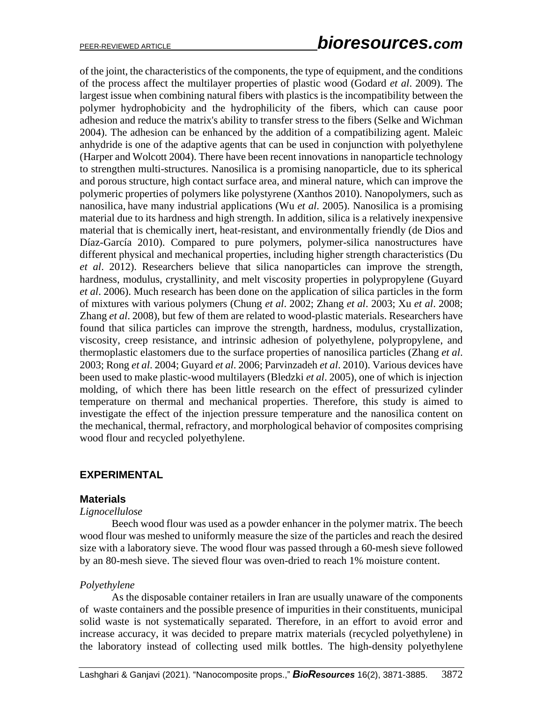of the joint, the characteristics of the components, the type of equipment, and the conditions of the process affect the multilayer properties of plastic wood (Godard *et al*. 2009). The largest issue when combining natural fibers with plastics is the incompatibility between the polymer hydrophobicity and the hydrophilicity of the fibers, which can cause poor adhesion and reduce the matrix's ability to transfer stress to the fibers (Selke and Wichman 2004). The adhesion can be enhanced by the addition of a compatibilizing agent. Maleic anhydride is one of the adaptive agents that can be used in conjunction with polyethylene (Harper and Wolcott 2004). There have been recent innovations in nanoparticle technology to strengthen multi-structures. Nanosilica is a promising nanoparticle, due to its spherical and porous structure, high contact surface area, and mineral nature, which can improve the polymeric properties of polymers like polystyrene (Xanthos 2010). Nanopolymers, such as nanosilica, have many industrial applications (Wu *et al*. 2005). Nanosilica is a promising material due to its hardness and high strength. In addition, silica is a relatively inexpensive material that is chemically inert, heat-resistant, and environmentally friendly (de Dios and Díaz-García 2010). Compared to pure polymers, polymer-silica nanostructures have different physical and mechanical properties, including higher strength characteristics (Du *et al*. 2012). Researchers believe that silica nanoparticles can improve the strength, hardness, modulus, crystallinity, and melt viscosity properties in polypropylene (Guyard *et al*. 2006). Much research has been done on the application of silica particles in the form of mixtures with various polymers (Chung *et al*. 2002; Zhang *et al*. 2003; Xu *et al*. 2008; Zhang *et al*. 2008), but few of them are related to wood-plastic materials. Researchers have found that silica particles can improve the strength, hardness, modulus, crystallization, viscosity, creep resistance, and intrinsic adhesion of polyethylene, polypropylene, and thermoplastic elastomers due to the surface properties of nanosilica particles (Zhang *et al*. 2003; Rong *et al*. 2004; Guyard *et al*. 2006; Parvinzadeh *et al*. 2010). Various devices have been used to make plastic-wood multilayers (Bledzki *et al*. 2005), one of which is injection molding, of which there has been little research on the effect of pressurized cylinder temperature on thermal and mechanical properties. Therefore, this study is aimed to investigate the effect of the injection pressure temperature and the nanosilica content on the mechanical, thermal, refractory, and morphological behavior of composites comprising wood flour and recycled polyethylene.

## **EXPERIMENTAL**

#### **Materials**

#### *Lignocellulose*

Beech wood flour was used as a powder enhancer in the polymer matrix. The beech wood flour was meshed to uniformly measure the size of the particles and reach the desired size with a laboratory sieve. The wood flour was passed through a 60-mesh sieve followed by an 80-mesh sieve. The sieved flour was oven-dried to reach 1% moisture content.

#### *Polyethylene*

As the disposable container retailers in Iran are usually unaware of the components of waste containers and the possible presence of impurities in their constituents, municipal solid waste is not systematically separated. Therefore, in an effort to avoid error and increase accuracy, it was decided to prepare matrix materials (recycled polyethylene) in the laboratory instead of collecting used milk bottles. The high-density polyethylene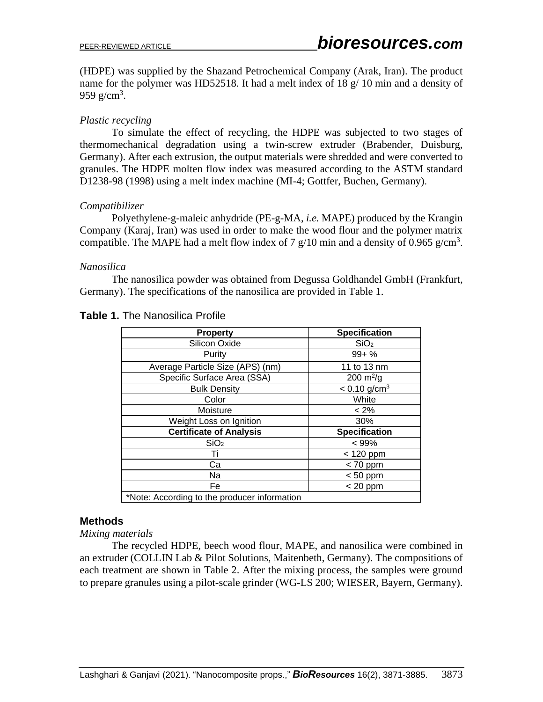(HDPE) was supplied by the Shazand Petrochemical Company (Arak, Iran). The product name for the polymer was HD52518. It had a melt index of 18  $g/$  10 min and a density of 959 g/cm<sup>3</sup>.

# *Plastic recycling*

To simulate the effect of recycling, the HDPE was subjected to two stages of thermomechanical degradation using a twin-screw extruder (Brabender, Duisburg, Germany). After each extrusion, the output materials were shredded and were converted to granules. The HDPE molten flow index was measured according to the ASTM standard D1238-98 (1998) using a melt index machine (MI-4; Gottfer, Buchen, Germany).

## *Compatibilizer*

Polyethylene-g-maleic anhydride (PE-g-MA, *i.e.* MAPE) produced by the Krangin Company (Karaj, Iran) was used in order to make the wood flour and the polymer matrix compatible. The MAPE had a melt flow index of 7  $g/10$  min and a density of 0.965  $g/cm<sup>3</sup>$ .

### *Nanosilica*

The nanosilica powder was obtained from Degussa Goldhandel GmbH (Frankfurt, Germany). The specifications of the nanosilica are provided in Table 1.

| <b>Property</b>                              | <b>Specification</b>       |  |  |  |
|----------------------------------------------|----------------------------|--|--|--|
| Silicon Oxide                                | SiO <sub>2</sub>           |  |  |  |
| Purity                                       | $99 + \%$                  |  |  |  |
| Average Particle Size (APS) (nm)             | 11 to 13 nm                |  |  |  |
| Specific Surface Area (SSA)                  | $200 \text{ m}^2/\text{g}$ |  |  |  |
| <b>Bulk Density</b>                          | $< 0.10$ g/cm <sup>3</sup> |  |  |  |
| Color                                        | White                      |  |  |  |
| Moisture                                     | $< 2\%$                    |  |  |  |
| Weight Loss on Ignition                      | 30%                        |  |  |  |
| <b>Certificate of Analysis</b>               | <b>Specification</b>       |  |  |  |
| SiO <sub>2</sub>                             | $< 99\%$                   |  |  |  |
| Τi                                           | $< 120$ ppm                |  |  |  |
| Ca                                           | $< 70$ ppm                 |  |  |  |
| Na                                           | $< 50$ ppm                 |  |  |  |
| Fe                                           | $< 20$ ppm                 |  |  |  |
| *Note: According to the producer information |                            |  |  |  |

# **Table 1.** The Nanosilica Profile

## **Methods**

#### *Mixing materials*

The recycled HDPE, beech wood flour, MAPE, and nanosilica were combined in an extruder (COLLIN Lab & Pilot Solutions, Maitenbeth, Germany). The compositions of each treatment are shown in Table 2. After the mixing process, the samples were ground to prepare granules using a pilot-scale grinder (WG-LS 200; WIESER, Bayern, Germany).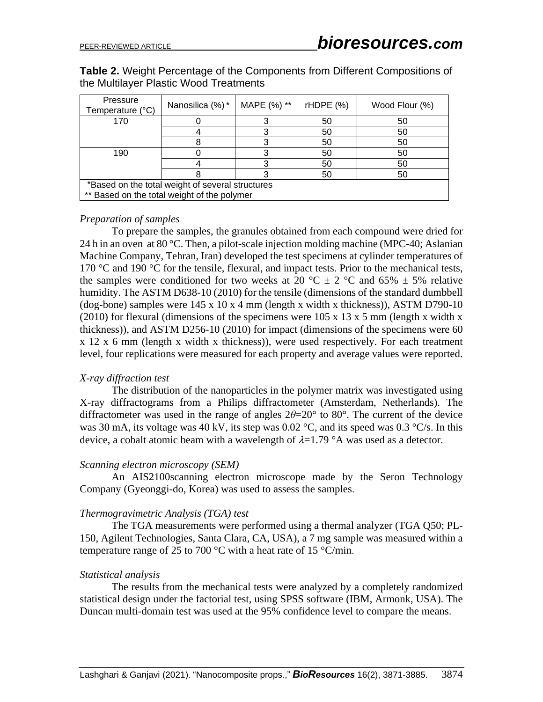**Table 2.** Weight Percentage of the Components from Different Compositions of the Multilayer Plastic Wood Treatments

| Pressure<br>Temperature (°C)                     | Nanosilica (%)* | MAPE (%) ** | rHDFE(%) | Wood Flour (%) |  |  |
|--------------------------------------------------|-----------------|-------------|----------|----------------|--|--|
| 170                                              |                 |             | 50       | 50             |  |  |
|                                                  |                 |             | 50       | 50             |  |  |
|                                                  |                 |             | 50       | 50             |  |  |
| 190                                              |                 |             | 50       | 50             |  |  |
|                                                  |                 |             | 50       | 50             |  |  |
|                                                  |                 |             | 50       | 50             |  |  |
| *Based on the total weight of several structures |                 |             |          |                |  |  |
| ** Based on the total weight of the polymer      |                 |             |          |                |  |  |

#### *Preparation of samples*

To prepare the samples, the granules obtained from each compound were dried for 24 h in an oven at 80 °C. Then, a pilot-scale injection molding machine (MPC-40; Aslanian Machine Company, Tehran, Iran) developed the test specimens at cylinder temperatures of 170 °C and 190 °C for the tensile, flexural, and impact tests. Prior to the mechanical tests, the samples were conditioned for two weeks at 20 °C  $\pm$  2 °C and 65%  $\pm$  5% relative humidity. The ASTM D638-10 (2010) for the tensile (dimensions of the standard dumbbell (dog-bone) samples were 145 x 10 x 4 mm (length x width x thickness)), ASTM D790-10 (2010) for flexural (dimensions of the specimens were  $105 \times 13 \times 5$  mm (length x width x thickness)), and ASTM D256-10 (2010) for impact (dimensions of the specimens were 60 x 12 x 6 mm (length x width x thickness)), were used respectively. For each treatment level, four replications were measured for each property and average values were reported.

#### *X-ray diffraction test*

The distribution of the nanoparticles in the polymer matrix was investigated using X-ray diffractograms from a Philips diffractometer (Amsterdam, Netherlands). The diffractometer was used in the range of angles  $2\theta = 20^\circ$  to 80°. The current of the device was 30 mA, its voltage was 40 kV, its step was 0.02 °C, and its speed was 0.3 °C/s. In this device, a cobalt atomic beam with a wavelength of  $\lambda = 1.79$  °A was used as a detector.

#### *Scanning electron microscopy (SEM)*

An AIS2100scanning electron microscope made by the Seron Technology Company (Gyeonggi-do, Korea) was used to assess the samples .

#### *Thermogravimetric Analysis (TGA) test*

The TGA measurements were performed using a thermal analyzer (TGA Q50; PL-150, Agilent Technologies, Santa Clara, CA, USA), a 7 mg sample was measured within a temperature range of 25 to 700 °C with a heat rate of 15 °C/min.

#### *Statistical analysis*

The results from the mechanical tests were analyzed by a completely randomized statistical design under the factorial test, using SPSS software (IBM, Armonk, USA). The Duncan multi-domain test was used at the 95% confidence level to compare the means.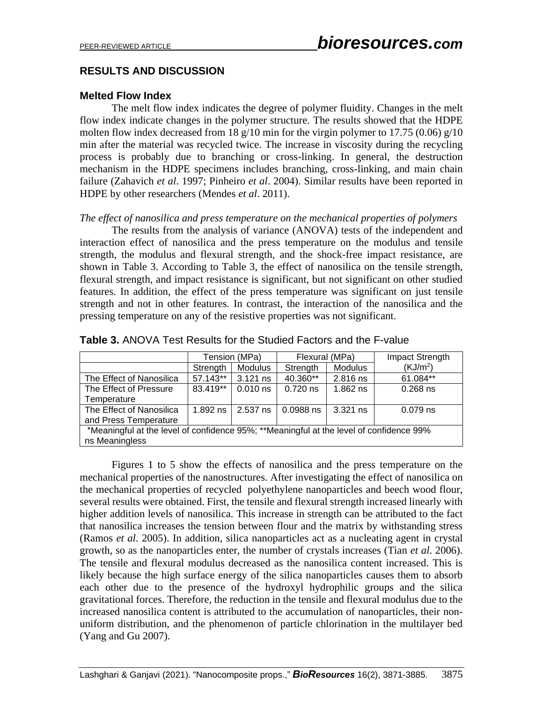# **RESULTS AND DISCUSSION**

## **Melted Flow Index**

The melt flow index indicates the degree of polymer fluidity. Changes in the melt flow index indicate changes in the polymer structure. The results showed that the HDPE molten flow index decreased from 18  $g/10$  min for the virgin polymer to 17.75 (0.06)  $g/10$ min after the material was recycled twice. The increase in viscosity during the recycling process is probably due to branching or cross-linking. In general, the destruction mechanism in the HDPE specimens includes branching, cross-linking, and main chain failure (Zahavich *et al*. 1997; Pinheiro *et al*. 2004). Similar results have been reported in HDPE by other researchers (Mendes *et al*. 2011).

#### *The effect of nanosilica and press temperature on the mechanical properties of polymers*

The results from the analysis of variance (ANOVA) tests of the independent and interaction effect of nanosilica and the press temperature on the modulus and tensile strength, the modulus and flexural strength, and the shock-free impact resistance, are shown in Table 3. According to Table 3, the effect of nanosilica on the tensile strength, flexural strength, and impact resistance is significant, but not significant on other studied features. In addition, the effect of the press temperature was significant on just tensile strength and not in other features. In contrast, the interaction of the nanosilica and the pressing temperature on any of the resistive properties was not significant.

|                                                                                         |            | Tension (MPa) | Flexural (MPa) |                | Impact Strength      |  |
|-----------------------------------------------------------------------------------------|------------|---------------|----------------|----------------|----------------------|--|
|                                                                                         | Strength   | Modulus       | Strength       | <b>Modulus</b> | (KJ/m <sup>2</sup> ) |  |
| The Effect of Nanosilica                                                                | 57.143**   | $3.121$ ns    | 40.360**       | 2.816 ns       | 61.084**             |  |
| The Effect of Pressure                                                                  | 83.419**   | $0.010$ ns    | $0.720$ ns     | $1.862$ ns     | $0.268$ ns           |  |
| Temperature                                                                             |            |               |                |                |                      |  |
| The Effect of Nanosilica                                                                | $1.892$ ns | 2.537 ns      | 0.0988 ns      | $3.321$ ns     | $0.079$ ns           |  |
| and Press Temperature                                                                   |            |               |                |                |                      |  |
| *Meaningful at the level of confidence 95%; **Meaningful at the level of confidence 99% |            |               |                |                |                      |  |
| ns Meaningless                                                                          |            |               |                |                |                      |  |

**Table 3.** ANOVA Test Results for the Studied Factors and the F-value

Figures 1 to 5 show the effects of nanosilica and the press temperature on the mechanical properties of the nanostructures. After investigating the effect of nanosilica on the mechanical properties of recycled polyethylene nanoparticles and beech wood flour, several results were obtained. First, the tensile and flexural strength increased linearly with higher addition levels of nanosilica. This increase in strength can be attributed to the fact that nanosilica increases the tension between flour and the matrix by withstanding stress (Ramos *et al*. 2005). In addition, silica nanoparticles act as a nucleating agent in crystal growth, so as the nanoparticles enter, the number of crystals increases (Tian *et al*. 2006). The tensile and flexural modulus decreased as the nanosilica content increased. This is likely because the high surface energy of the silica nanoparticles causes them to absorb each other due to the presence of the hydroxyl hydrophilic groups and the silica gravitational forces. Therefore, the reduction in the tensile and flexural modulus due to the increased nanosilica content is attributed to the accumulation of nanoparticles, their nonuniform distribution, and the phenomenon of particle chlorination in the multilayer bed (Yang and Gu 2007).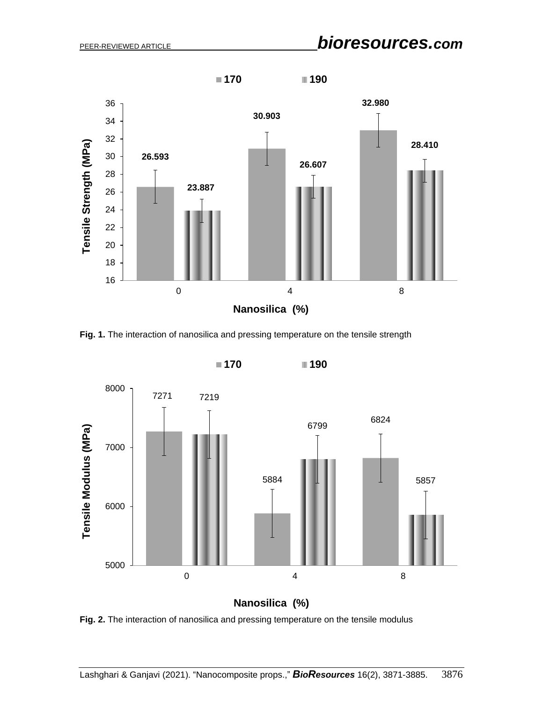

**Fig. 1.** The interaction of nanosilica and pressing temperature on the tensile strength



**Fig. 2.** The interaction of nanosilica and pressing temperature on the tensile modulus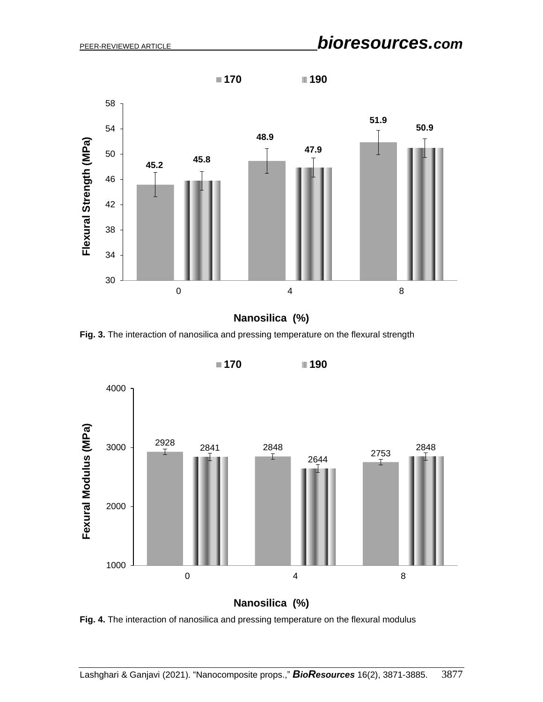

**Nanosilica (%)**

**Fig. 3.** The interaction of nanosilica and pressing temperature on the flexural strength



**Nanosilica (%)**

**Fig. 4.** The interaction of nanosilica and pressing temperature on the flexural modulus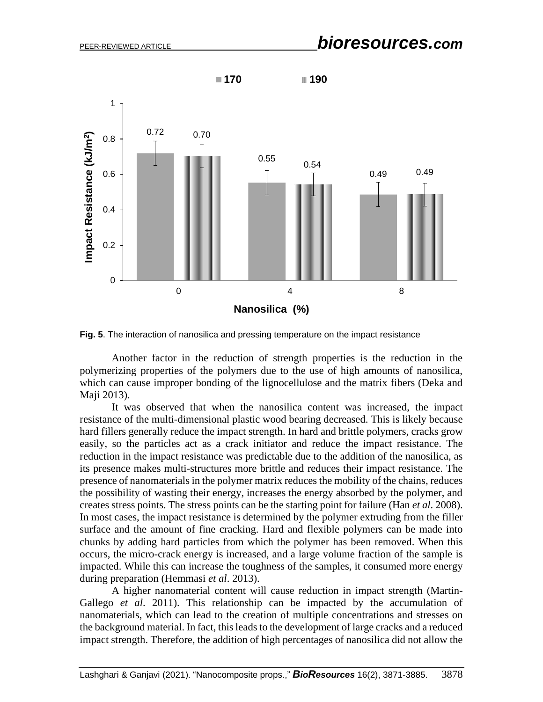

**Fig. 5**. The interaction of nanosilica and pressing temperature on the impact resistance

Another factor in the reduction of strength properties is the reduction in the polymerizing properties of the polymers due to the use of high amounts of nanosilica, which can cause improper bonding of the lignocellulose and the matrix fibers (Deka and Maji 2013).

It was observed that when the nanosilica content was increased, the impact resistance of the multi-dimensional plastic wood bearing decreased. This is likely because hard fillers generally reduce the impact strength. In hard and brittle polymers, cracks grow easily, so the particles act as a crack initiator and reduce the impact resistance. The reduction in the impact resistance was predictable due to the addition of the nanosilica, as its presence makes multi-structures more brittle and reduces their impact resistance. The presence of nanomaterials in the polymer matrix reduces the mobility of the chains, reduces the possibility of wasting their energy, increases the energy absorbed by the polymer, and creates stress points. The stress points can be the starting point for failure (Han *et al*. 2008). In most cases, the impact resistance is determined by the polymer extruding from the filler surface and the amount of fine cracking. Hard and flexible polymers can be made into chunks by adding hard particles from which the polymer has been removed. When this occurs, the micro-crack energy is increased, and a large volume fraction of the sample is impacted. While this can increase the toughness of the samples, it consumed more energy during preparation (Hemmasi *et al*. 2013).

A higher nanomaterial content will cause reduction in impact strength (Martin-Gallego *et al*. 2011). This relationship can be impacted by the accumulation of nanomaterials, which can lead to the creation of multiple concentrations and stresses on the background material. In fact, this leads to the development of large cracks and a reduced impact strength. Therefore, the addition of high percentages of nanosilica did not allow the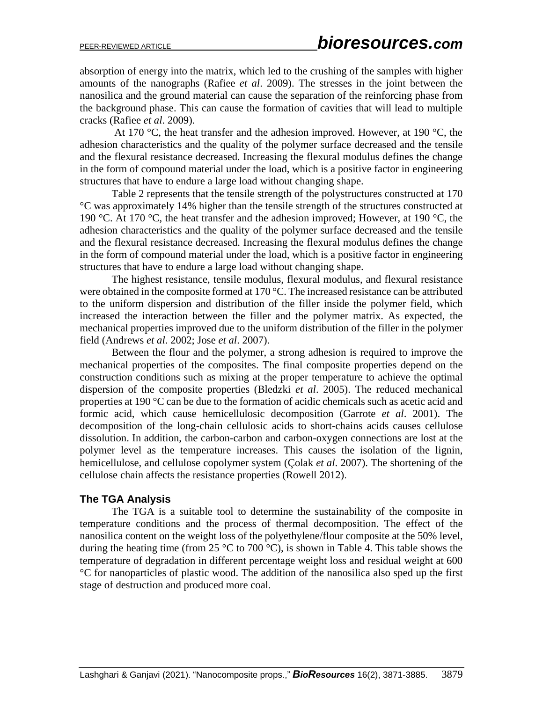absorption of energy into the matrix, which led to the crushing of the samples with higher amounts of the nanographs (Rafiee *et al*. 2009). The stresses in the joint between the nanosilica and the ground material can cause the separation of the reinforcing phase from the background phase. This can cause the formation of cavities that will lead to multiple cracks (Rafiee *et al*. 2009).

At 170 °C, the heat transfer and the adhesion improved. However, at 190 °C, the adhesion characteristics and the quality of the polymer surface decreased and the tensile and the flexural resistance decreased. Increasing the flexural modulus defines the change in the form of compound material under the load, which is a positive factor in engineering structures that have to endure a large load without changing shape.

Table 2 represents that the tensile strength of the polystructures constructed at 170 °C was approximately 14% higher than the tensile strength of the structures constructed at 190 °C. At 170 °C, the heat transfer and the adhesion improved; However, at 190 °C, the adhesion characteristics and the quality of the polymer surface decreased and the tensile and the flexural resistance decreased. Increasing the flexural modulus defines the change in the form of compound material under the load, which is a positive factor in engineering structures that have to endure a large load without changing shape.

The highest resistance, tensile modulus, flexural modulus, and flexural resistance were obtained in the composite formed at 170 °C. The increased resistance can be attributed to the uniform dispersion and distribution of the filler inside the polymer field, which increased the interaction between the filler and the polymer matrix. As expected, the mechanical properties improved due to the uniform distribution of the filler in the polymer field (Andrews *et al*. 2002; Jose *et al*. 2007).

Between the flour and the polymer, a strong adhesion is required to improve the mechanical properties of the composites. The final composite properties depend on the construction conditions such as mixing at the proper temperature to achieve the optimal dispersion of the composite properties (Bledzki *et al*. 2005). The reduced mechanical properties at 190 °C can be due to the formation of acidic chemicals such as acetic acid and formic acid, which cause hemicellulosic decomposition (Garrote *et al*. 2001). The decomposition of the long-chain cellulosic acids to short-chains acids causes cellulose dissolution. In addition, the carbon-carbon and carbon-oxygen connections are lost at the polymer level as the temperature increases. This causes the isolation of the lignin, hemicellulose, and cellulose copolymer system (Çolak *et al*. 2007). The shortening of the cellulose chain affects the resistance properties (Rowell 2012).

#### **The TGA Analysis**

The TGA is a suitable tool to determine the sustainability of the composite in temperature conditions and the process of thermal decomposition. The effect of the nanosilica content on the weight loss of the polyethylene/flour composite at the 50% level, during the heating time (from 25 °C to 700 °C), is shown in Table 4. This table shows the temperature of degradation in different percentage weight loss and residual weight at 600 °C for nanoparticles of plastic wood. The addition of the nanosilica also sped up the first stage of destruction and produced more coal .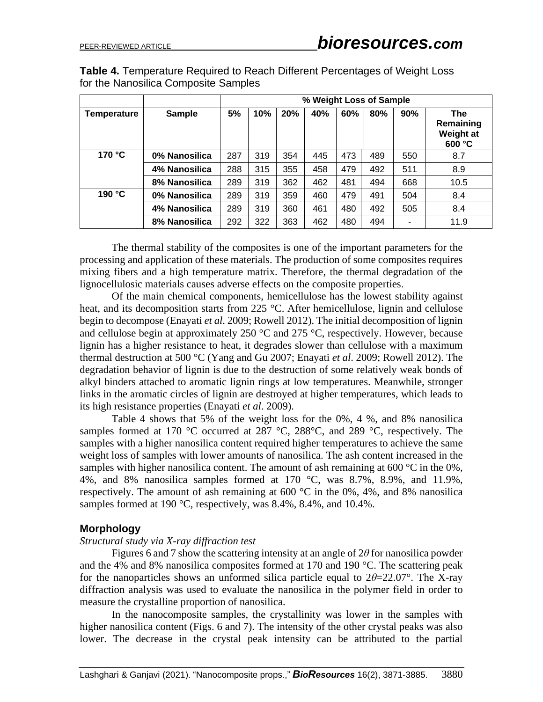| <b>Table 4. Temperature Required to Reach Different Percentages of Weight Loss</b> |  |  |
|------------------------------------------------------------------------------------|--|--|
| for the Nanosilica Composite Samples                                               |  |  |

|                    |               | % Weight Loss of Sample |     |     |     |     |     |     |                                                       |
|--------------------|---------------|-------------------------|-----|-----|-----|-----|-----|-----|-------------------------------------------------------|
| <b>Temperature</b> | <b>Sample</b> | 5%                      | 10% | 20% | 40% | 60% | 80% | 90% | <b>The</b><br>Remaining<br><b>Weight at</b><br>600 °C |
| 170 °C             | 0% Nanosilica | 287                     | 319 | 354 | 445 | 473 | 489 | 550 | 8.7                                                   |
|                    | 4% Nanosilica | 288                     | 315 | 355 | 458 | 479 | 492 | 511 | 8.9                                                   |
|                    | 8% Nanosilica | 289                     | 319 | 362 | 462 | 481 | 494 | 668 | 10.5                                                  |
| 190 °C             | 0% Nanosilica | 289                     | 319 | 359 | 460 | 479 | 491 | 504 | 8.4                                                   |
|                    | 4% Nanosilica | 289                     | 319 | 360 | 461 | 480 | 492 | 505 | 8.4                                                   |
|                    | 8% Nanosilica | 292                     | 322 | 363 | 462 | 480 | 494 |     | 11.9                                                  |

The thermal stability of the composites is one of the important parameters for the processing and application of these materials. The production of some composites requires mixing fibers and a high temperature matrix. Therefore, the thermal degradation of the lignocellulosic materials causes adverse effects on the composite properties.

Of the main chemical components, hemicellulose has the lowest stability against heat, and its decomposition starts from 225 °C. After hemicellulose, lignin and cellulose begin to decompose (Enayati *et al*. 2009; Rowell 2012). The initial decomposition of lignin and cellulose begin at approximately 250 °C and 275 °C, respectively. However, because lignin has a higher resistance to heat, it degrades slower than cellulose with a maximum thermal destruction at 500 °C (Yang and Gu 2007; Enayati *et al*. 2009; Rowell 2012). The degradation behavior of lignin is due to the destruction of some relatively weak bonds of alkyl binders attached to aromatic lignin rings at low temperatures. Meanwhile, stronger links in the aromatic circles of lignin are destroyed at higher temperatures, which leads to its high resistance properties (Enayati *et al*. 2009).

Table 4 shows that 5% of the weight loss for the 0%, 4 %, and 8% nanosilica samples formed at 170 °C occurred at 287 °C, 288 °C, and 289 °C, respectively. The samples with a higher nanosilica content required higher temperatures to achieve the same weight loss of samples with lower amounts of nanosilica. The ash content increased in the samples with higher nanosilica content. The amount of ash remaining at  $600 °C$  in the 0%, 4%, and 8% nanosilica samples formed at 170 °C, was 8.7%, 8.9%, and 11.9%, respectively. The amount of ash remaining at 600 °C in the 0%, 4%, and 8% nanosilica samples formed at 190 °C, respectively, was 8.4%, 8.4%, and 10.4%.

#### **Morphology**

#### *Structural study via X-ray diffraction test*

Figures 6 and 7 show the scattering intensity at an angle of 2*θ* for nanosilica powder and the 4% and 8% nanosilica composites formed at 170 and 190 °C. The scattering peak for the nanoparticles shows an unformed silica particle equal to 2*θ*=22.07°. The X-ray diffraction analysis was used to evaluate the nanosilica in the polymer field in order to measure the crystalline proportion of nanosilica.

In the nanocomposite samples, the crystallinity was lower in the samples with higher nanosilica content (Figs. 6 and 7). The intensity of the other crystal peaks was also lower. The decrease in the crystal peak intensity can be attributed to the partial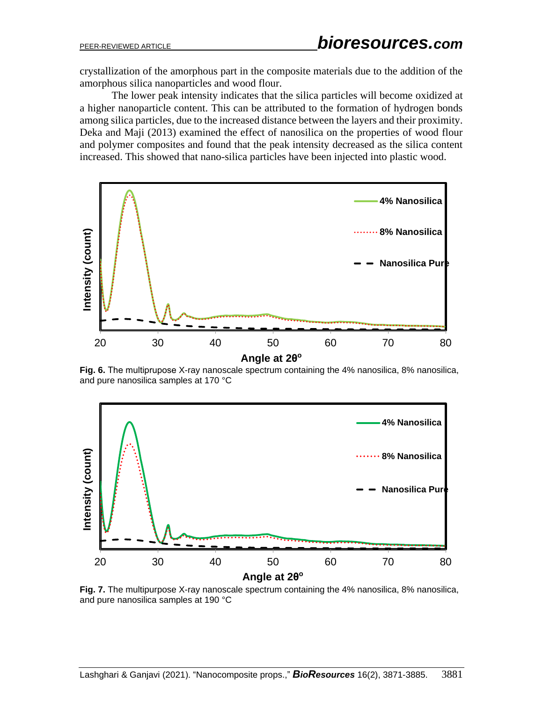crystallization of the amorphous part in the composite materials due to the addition of the amorphous silica nanoparticles and wood flour.

The lower peak intensity indicates that the silica particles will become oxidized at a higher nanoparticle content. This can be attributed to the formation of hydrogen bonds among silica particles, due to the increased distance between the layers and their proximity. Deka and Maji (2013) examined the effect of nanosilica on the properties of wood flour and polymer composites and found that the peak intensity decreased as the silica content increased. This showed that nano-silica particles have been injected into plastic wood.



**Fig. 6.** The multiprupose X-ray nanoscale spectrum containing the 4% nanosilica, 8% nanosilica, and pure nanosilica samples at 170 °C



**Fig. 7.** The multipurpose X-ray nanoscale spectrum containing the 4% nanosilica, 8% nanosilica, and pure nanosilica samples at 190 °C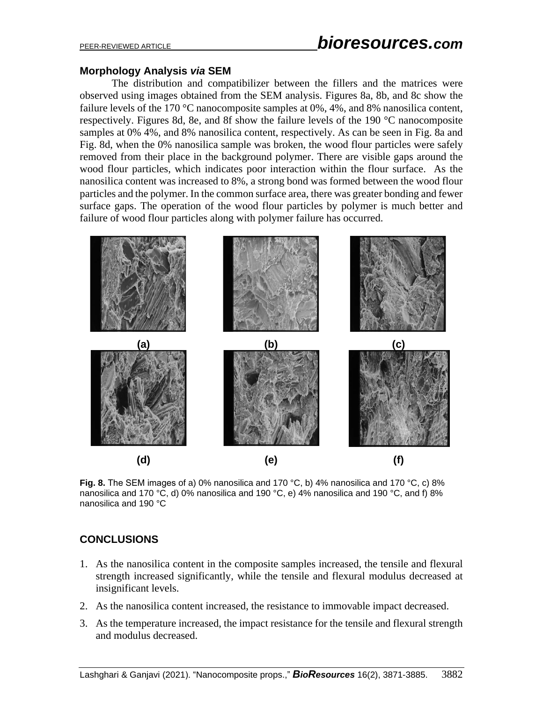## **Morphology Analysis** *via* **SEM**

The distribution and compatibilizer between the fillers and the matrices were observed using images obtained from the SEM analysis. Figures 8a, 8b, and 8c show the failure levels of the 170 °C nanocomposite samples at 0%, 4%, and 8% nanosilica content, respectively. Figures 8d, 8e, and 8f show the failure levels of the 190 °C nanocomposite samples at 0% 4%, and 8% nanosilica content, respectively. As can be seen in Fig. 8a and Fig. 8d, when the 0% nanosilica sample was broken, the wood flour particles were safely removed from their place in the background polymer. There are visible gaps around the wood flour particles, which indicates poor interaction within the flour surface. As the nanosilica content was increased to 8%, a strong bond was formed between the wood flour particles and the polymer. In the common surface area, there was greater bonding and fewer surface gaps. The operation of the wood flour particles by polymer is much better and failure of wood flour particles along with polymer failure has occurred.



**Fig. 8.** The SEM images of a) 0% nanosilica and 170 °C, b) 4% nanosilica and 170 °C, c) 8% nanosilica and 170 °C, d) 0% nanosilica and 190 °C, e) 4% nanosilica and 190 °C, and f) 8% nanosilica and 190 °C

# **CONCLUSIONS**

- 1. As the nanosilica content in the composite samples increased, the tensile and flexural strength increased significantly, while the tensile and flexural modulus decreased at insignificant levels.
- 2. As the nanosilica content increased, the resistance to immovable impact decreased.
- 3. As the temperature increased, the impact resistance for the tensile and flexural strength and modulus decreased.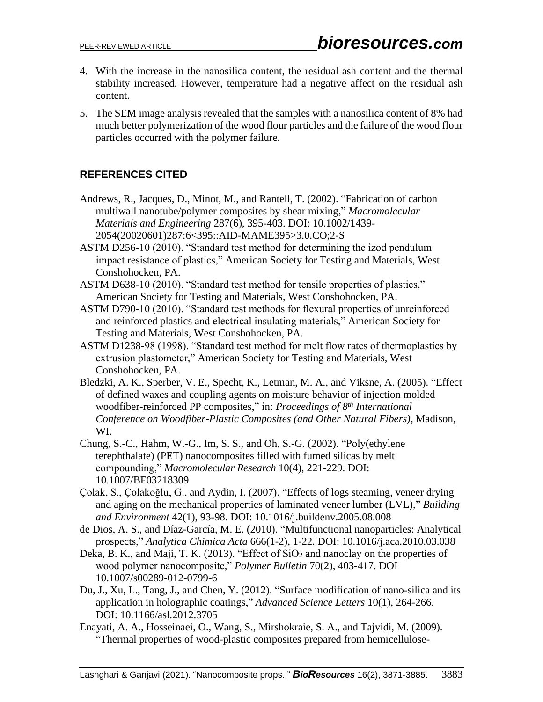- 4. With the increase in the nanosilica content, the residual ash content and the thermal stability increased. However, temperature had a negative affect on the residual ash content.
- 5. The SEM image analysis revealed that the samples with a nanosilica content of 8% had much better polymerization of the wood flour particles and the failure of the wood flour particles occurred with the polymer failure.

# **REFERENCES CITED**

- Andrews, R., Jacques, D., Minot, M., and Rantell, T. (2002). "Fabrication of carbon multiwall nanotube/polymer composites by shear mixing," *Macromolecular Materials and Engineering* 287(6), 395-403. DOI: 10.1002/1439- 2054(20020601)287:6<395::AID-MAME395>3.0.CO;2-S
- ASTM D256-10 (2010). "Standard test method for determining the izod pendulum impact resistance of plastics," American Society for Testing and Materials, West Conshohocken, PA.
- ASTM D638-10 (2010). "Standard test method for tensile properties of plastics," American Society for Testing and Materials, West Conshohocken, PA.
- ASTM D790-10 (2010). "Standard test methods for flexural properties of unreinforced and reinforced plastics and electrical insulating materials," American Society for Testing and Materials, West Conshohocken, PA.
- ASTM D1238-98 (1998). "Standard test method for melt flow rates of thermoplastics by extrusion plastometer," American Society for Testing and Materials, West Conshohocken, PA.
- Bledzki, A. K., Sperber, V. E., Specht, K., Letman, M. A., and Viksne, A. (2005). "Effect of defined waxes and coupling agents on moisture behavior of injection molded woodfiber-reinforced PP composites," in: *Proceedings of 8th International Conference on Woodfiber-Plastic Composites (and Other Natural Fibers)*, Madison, WI.
- Chung, S.-C., Hahm, W.-G., Im, S. S., and Oh, S.-G. (2002). "Poly(ethylene terephthalate) (PET) nanocomposites filled with fumed silicas by melt compounding," *Macromolecular Research* 10(4), 221-229. DOI: 10.1007/BF03218309
- Çolak, S., Çolakoğlu, G., and Aydin, I. (2007). "Effects of logs steaming, veneer drying and aging on the mechanical properties of laminated veneer lumber (LVL)," *Building and Environment* 42(1), 93-98. DOI: 10.1016/j.buildenv.2005.08.008
- de Dios, A. S., and Díaz-García, M. E. (2010). "Multifunctional nanoparticles: Analytical prospects," *Analytica Chimica Acta* 666(1-2), 1-22. DOI: 10.1016/j.aca.2010.03.038
- Deka, B. K., and Maji, T. K. (2013). "Effect of SiO<sub>2</sub> and nanoclay on the properties of wood polymer nanocomposite," *Polymer Bulletin* 70(2), 403-417. DOI 10.1007/s00289-012-0799-6
- Du, J., Xu, L., Tang, J., and Chen, Y. (2012). "Surface modification of nano-silica and its application in holographic coatings," *Advanced Science Letters* 10(1), 264-266. DOI: 10.1166/asl.2012.3705
- Enayati, A. A., Hosseinaei, O., Wang, S., Mirshokraie, S. A., and Tajvidi, M. (2009). "Thermal properties of wood-plastic composites prepared from hemicellulose-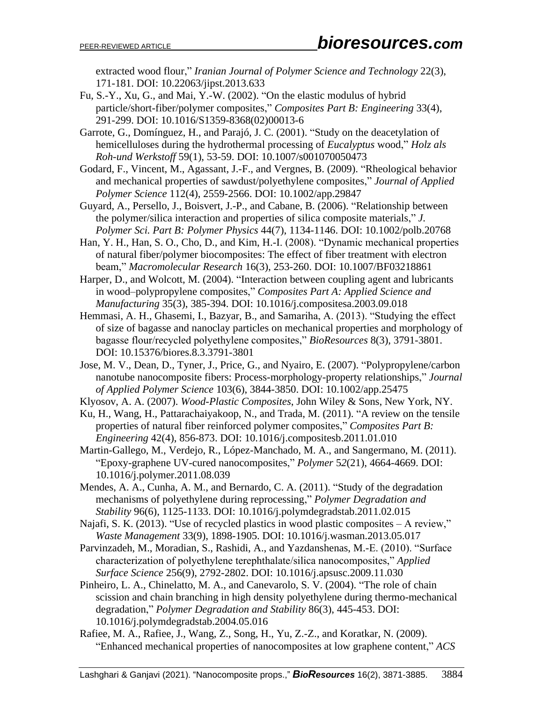extracted wood flour," *Iranian Journal of Polymer Science and Technology* 22(3), 171-181. DOI: 10.22063/jipst.2013.633

- Fu, S.-Y., Xu, G., and Mai, Y.-W. (2002). "On the elastic modulus of hybrid particle/short-fiber/polymer composites," *Composites Part B: Engineering* 33(4), 291-299. DOI: 10.1016/S1359-8368(02)00013-6
- Garrote, G., Domínguez, H., and Parajó, J. C. (2001). "Study on the deacetylation of hemicelluloses during the hydrothermal processing of *Eucalyptus* wood," *Holz als Roh-und Werkstoff* 59(1), 53-59. DOI: 10.1007/s001070050473
- Godard, F., Vincent, M., Agassant, J.-F., and Vergnes, B. (2009). "Rheological behavior and mechanical properties of sawdust/polyethylene composites," *Journal of Applied Polymer Science* 112(4), 2559-2566. DOI: 10.1002/app.29847
- Guyard, A., Persello, J., Boisvert, J.-P., and Cabane, B. (2006). "Relationship between the polymer/silica interaction and properties of silica composite materials," *J. Polymer Sci. Part B: Polymer Physics* 44(7), 1134-1146. DOI: 10.1002/polb.20768
- Han, Y. H., Han, S. O., Cho, D., and Kim, H.-I. (2008). "Dynamic mechanical properties of natural fiber/polymer biocomposites: The effect of fiber treatment with electron beam," *Macromolecular Research* 16(3), 253-260. DOI: 10.1007/BF03218861
- Harper, D., and Wolcott, M. (2004). "Interaction between coupling agent and lubricants in wood–polypropylene composites," *Composites Part A: Applied Science and Manufacturing* 35(3), 385-394. DOI: 10.1016/j.compositesa.2003.09.018
- Hemmasi, A. H., Ghasemi, I., Bazyar, B., and Samariha, A. (2013). "Studying the effect of size of bagasse and nanoclay particles on mechanical properties and morphology of bagasse flour/recycled polyethylene composites," *BioResources* 8(3), 3791-3801. DOI: 10.15376/biores.8.3.3791-3801
- Jose, M. V., Dean, D., Tyner, J., Price, G., and Nyairo, E. (2007). "Polypropylene/carbon nanotube nanocomposite fibers: Process-morphology-property relationships," *Journal of Applied Polymer Science* 103(6), 3844-3850. DOI: 10.1002/app.25475
- Klyosov, A. A. (2007). *Wood-Plastic Composites*, John Wiley & Sons, New York, NY.
- Ku, H., Wang, H., Pattarachaiyakoop, N., and Trada, M. (2011). "A review on the tensile properties of natural fiber reinforced polymer composites," *Composites Part B: Engineering* 42(4), 856-873. DOI: 10.1016/j.compositesb.2011.01.010
- Martin-Gallego, M., Verdejo, R., López-Manchado, M. A., and Sangermano, M. (2011). "Epoxy-graphene UV-cured nanocomposites," *Polymer* 5*2*(21), 4664-4669. DOI: 10.1016/j.polymer.2011.08.039
- Mendes, A. A., Cunha, A. M., and Bernardo, C. A. (2011). "Study of the degradation mechanisms of polyethylene during reprocessing," *Polymer Degradation and Stability* 96(6), 1125-1133. DOI: 10.1016/j.polymdegradstab.2011.02.015
- Najafi, S. K. (2013). "Use of recycled plastics in wood plastic composites A review," *Waste Management* 33(9), 1898-1905. DOI: 10.1016/j.wasman.2013.05.017
- Parvinzadeh, M., Moradian, S., Rashidi, A., and Yazdanshenas, M.-E. (2010). "Surface characterization of polyethylene terephthalate/silica nanocomposites," *Applied Surface Science* 256(9), 2792-2802. DOI: 10.1016/j.apsusc.2009.11.030
- Pinheiro, L. A., Chinelatto, M. A., and Canevarolo, S. V. (2004). "The role of chain scission and chain branching in high density polyethylene during thermo-mechanical degradation," *Polymer Degradation and Stability* 86(3), 445-453. DOI: 10.1016/j.polymdegradstab.2004.05.016
- Rafiee, M. A., Rafiee, J., Wang, Z., Song, H., Yu, Z.-Z., and Koratkar, N. (2009). "Enhanced mechanical properties of nanocomposites at low graphene content," *ACS*